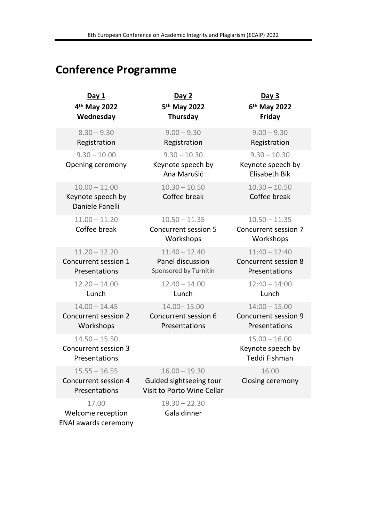## Conference Programme

| Day 1<br>4 <sup>th</sup> May 2022<br>Wednesday                    | Day 2<br>5 <sup>th</sup> May 2022<br>Thursday                                               | <u>Day 3</u><br>6 <sup>th</sup> May 2022<br>Friday          |
|-------------------------------------------------------------------|---------------------------------------------------------------------------------------------|-------------------------------------------------------------|
| $8.30 - 9.30$<br>Registration                                     | $9.00 - 9.30$<br>Registration                                                               | $9.00 - 9.30$<br>Registration                               |
| $9.30 - 10.00$<br>Opening ceremony                                | $9.30 - 10.30$<br>Keynote speech by<br>Ana Marušić                                          | $9.30 - 10.30$<br>Keynote speech by<br><b>Elisabeth Bik</b> |
| $10.00 - 11.00$<br>Keynote speech by<br>Daniele Fanelli           | $10.30 - 10.50$<br>Coffee break                                                             | $10.30 - 10.50$<br>Coffee break                             |
| $11.00 - 11.20$<br>Coffee break                                   | $10.50 - 11.35$<br>Concurrent session 5<br>Workshops                                        | $10.50 - 11.35$<br>Concurrent session 7<br>Workshops        |
| $11.20 - 12.20$<br>Concurrent session 1<br>Presentations          | $11.40 - 12.40$<br>Panel discussion<br>Sponsored by Turnitin                                | $11:40 - 12:40$<br>Concurrent session 8<br>Presentations    |
| $12.20 - 14.00$<br>Lunch                                          | $12.40 - 14.00$<br>Lunch                                                                    | $12:40 - 14:00$<br>Lunch                                    |
| $14.00 - 14.45$<br>Concurrent session 2<br>Workshops              | 14.00 - 15.00<br>Concurrent session 6<br>Presentations                                      | $14:00 - 15.00$<br>Concurrent session 9<br>Presentations    |
| $14.50 - 15.50$<br>Concurrent session 3<br>Presentations          |                                                                                             | $15.00 - 16.00$<br>Keynote speech by<br>Teddi Fishman       |
| $15.55 - 16.55$<br>Concurrent session 4<br>Presentations<br>17.00 | $16.00 - 19.30$<br>Guided sightseeing tour<br>Visit to Porto Wine Cellar<br>$19.30 - 22.30$ | 16.00<br>Closing ceremony                                   |
| Welcome reception<br><b>ENAI awards ceremony</b>                  | Gala dinner                                                                                 |                                                             |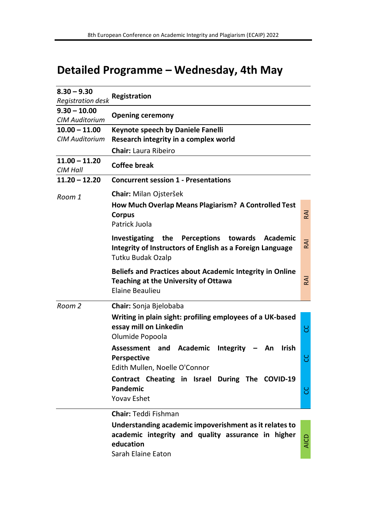## Detailed Programme – Wednesday, 4th May

| $8.30 - 9.30$                           | Registration                                                                                                                                                                   |             |
|-----------------------------------------|--------------------------------------------------------------------------------------------------------------------------------------------------------------------------------|-------------|
| Registration desk                       |                                                                                                                                                                                |             |
| $9.30 - 10.00$<br><b>CIM Auditorium</b> | <b>Opening ceremony</b>                                                                                                                                                        |             |
| $10.00 - 11.00$                         | Keynote speech by Daniele Fanelli                                                                                                                                              |             |
| CIM Auditorium                          | Research integrity in a complex world                                                                                                                                          |             |
|                                         | <b>Chair:</b> Laura Ribeiro                                                                                                                                                    |             |
| $11.00 - 11.20$<br>CIM Hall             | <b>Coffee break</b>                                                                                                                                                            |             |
| $11.20 - 12.20$                         | <b>Concurrent session 1 - Presentations</b>                                                                                                                                    |             |
| Room 1                                  | Chair: Milan Ojsteršek                                                                                                                                                         |             |
|                                         | How Much Overlap Means Plagiarism? A Controlled Test<br><b>Corpus</b><br>Patrick Juola                                                                                         | RAI         |
|                                         | Perceptions towards<br>Investigating the<br>Academic<br>Integrity of Instructors of English as a Foreign Language<br>Tutku Budak Ozalp                                         | RAI         |
|                                         | Beliefs and Practices about Academic Integrity in Online<br><b>Teaching at the University of Ottawa</b><br>Elaine Beaulieu                                                     | RAI         |
| Room 2                                  | Chair: Sonja Bjelobaba                                                                                                                                                         |             |
|                                         | Writing in plain sight: profiling employees of a UK-based<br>essay mill on Linkedin<br>Olumide Popoola                                                                         | ႘           |
|                                         | Assessment and Academic Integrity -<br>Irish<br>An .<br><b>Perspective</b><br>Edith Mullen, Noelle O'Connor                                                                    | ပ္ပ         |
|                                         | Contract Cheating in Israel During The COVID-19<br>Pandemic<br><b>Yovav Eshet</b>                                                                                              | ပ္ပ         |
|                                         | <b>Chair:</b> Teddi Fishman<br>Understanding academic impoverishment as it relates to<br>academic integrity and quality assurance in higher<br>education<br>Sarah Elaine Eaton | <b>AICD</b> |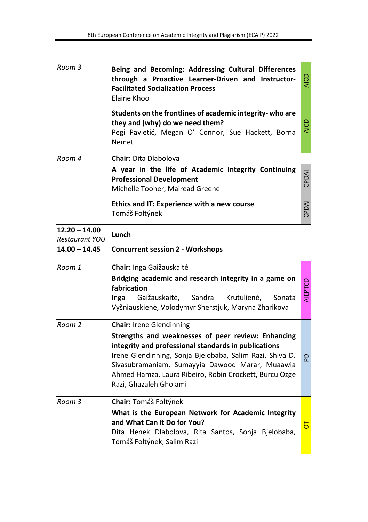| Room 3                                   | Being and Becoming: Addressing Cultural Differences<br>through a Proactive Learner-Driven and Instructor-<br><b>Facilitated Socialization Process</b><br>Elaine Khoo                                                                                                                                          | AICE        |
|------------------------------------------|---------------------------------------------------------------------------------------------------------------------------------------------------------------------------------------------------------------------------------------------------------------------------------------------------------------|-------------|
|                                          | Students on the frontlines of academic integrity-who are<br>they and (why) do we need them?<br>Pegi Pavletić, Megan O' Connor, Sue Hackett, Borna<br>Nemet                                                                                                                                                    | <b>AICD</b> |
| Room 4                                   | <b>Chair: Dita Dlabolova</b>                                                                                                                                                                                                                                                                                  |             |
|                                          | A year in the life of Academic Integrity Continuing<br><b>Professional Development</b><br>Michelle Tooher, Mairead Greene                                                                                                                                                                                     | CPDAI       |
|                                          | Ethics and IT: Experience with a new course<br>Tomáš Foltýnek                                                                                                                                                                                                                                                 | CPDAI       |
| $12.20 - 14.00$<br><b>Restaurant YOU</b> | Lunch                                                                                                                                                                                                                                                                                                         |             |
| $14.00 - 14.45$                          | <b>Concurrent session 2 - Workshops</b>                                                                                                                                                                                                                                                                       |             |
| Room 1                                   | Chair: Inga Gaižauskaitė                                                                                                                                                                                                                                                                                      |             |
|                                          | Bridging academic and research integrity in a game on<br>fabrication<br>Gaižauskaitė,<br>Sandra<br>Krutulienė,<br>Inga<br>Sonata<br>Vyšniauskienė, Volodymyr Sherstjuk, Maryna Zharikova                                                                                                                      | AIEPTCD     |
| Room 2                                   | <b>Chair: Irene Glendinning</b>                                                                                                                                                                                                                                                                               |             |
|                                          | Strengths and weaknesses of peer review: Enhancing<br>integrity and professional standards in publications<br>Irene Glendinning, Sonja Bjelobaba, Salim Razi, Shiva D.<br>Sivasubramaniam, Sumayyia Dawood Marar, Muaawia<br>Ahmed Hamza, Laura Ribeiro, Robin Crockett, Burcu Özge<br>Razi, Ghazaleh Gholami | 요           |
|                                          |                                                                                                                                                                                                                                                                                                               |             |
| Room 3                                   | Chair: Tomáš Foltýnek                                                                                                                                                                                                                                                                                         |             |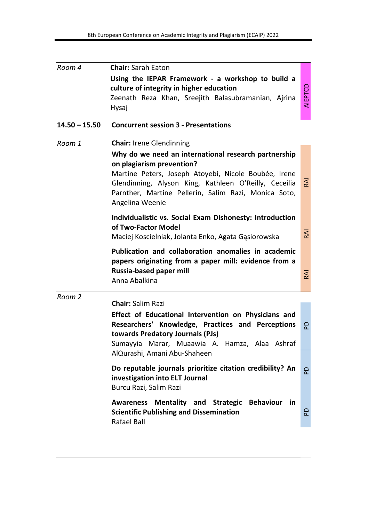| Room 4          | <b>Chair: Sarah Eaton</b>                                                                                                                                                                                                                                                     |                |
|-----------------|-------------------------------------------------------------------------------------------------------------------------------------------------------------------------------------------------------------------------------------------------------------------------------|----------------|
|                 | Using the IEPAR Framework - a workshop to build a<br>culture of integrity in higher education<br>Zeenath Reza Khan, Sreejith Balasubramanian, Ajrina<br>Hysaj                                                                                                                 | <b>AIEPTCD</b> |
|                 |                                                                                                                                                                                                                                                                               |                |
| $14.50 - 15.50$ | <b>Concurrent session 3 - Presentations</b>                                                                                                                                                                                                                                   |                |
| Room 1          | <b>Chair:</b> Irene Glendinning                                                                                                                                                                                                                                               |                |
|                 | Why do we need an international research partnership<br>on plagiarism prevention?<br>Martine Peters, Joseph Atoyebi, Nicole Boubée, Irene<br>Glendinning, Alyson King, Kathleen O'Reilly, Ceceilia<br>Parnther, Martine Pellerin, Salim Razi, Monica Soto,<br>Angelina Weenie | 준              |
|                 | Individualistic vs. Social Exam Dishonesty: Introduction<br>of Two-Factor Model<br>Maciej Koscielniak, Jolanta Enko, Agata Gasiorowska                                                                                                                                        | <b>RAI</b>     |
|                 | Publication and collaboration anomalies in academic<br>papers originating from a paper mill: evidence from a<br>Russia-based paper mill<br>Anna Abalkina                                                                                                                      | <b>RAI</b>     |
| Room 2          | <b>Chair: Salim Razi</b>                                                                                                                                                                                                                                                      |                |
|                 | Effect of Educational Intervention on Physicians and<br>Researchers' Knowledge, Practices and Perceptions<br>towards Predatory Journals (PJs)<br>Sumayyia Marar, Muaawia A. Hamza, Alaa Ashraf<br>AlQurashi, Amani Abu-Shaheen                                                | 윤              |
|                 | Do reputable journals prioritize citation credibility? An<br>investigation into ELT Journal<br>Burcu Razi, Salim Razi                                                                                                                                                         | 요              |
|                 | Awareness Mentality and Strategic Behaviour in<br><b>Scientific Publishing and Dissemination</b><br>Rafael Ball                                                                                                                                                               | 요              |
|                 |                                                                                                                                                                                                                                                                               |                |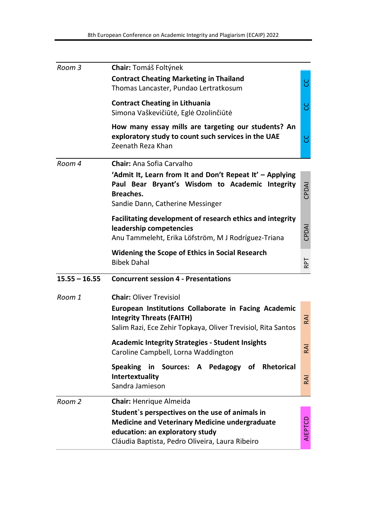| Room 3          | Chair: Tomáš Foltýnek                                                                                                                                                                          |         |
|-----------------|------------------------------------------------------------------------------------------------------------------------------------------------------------------------------------------------|---------|
|                 | <b>Contract Cheating Marketing in Thailand</b><br>Thomas Lancaster, Pundao Lertratkosum                                                                                                        | ႘       |
|                 | <b>Contract Cheating in Lithuania</b><br>Simona Vaškevičiūtė, Eglė Ozolinčiūtė                                                                                                                 | ပ္ပ     |
|                 | How many essay mills are targeting our students? An<br>exploratory study to count such services in the UAE<br>Zeenath Reza Khan                                                                | ပ္ပ     |
| Room 4          | <b>Chair:</b> Ana Sofia Carvalho                                                                                                                                                               |         |
|                 | 'Admit It, Learn from It and Don't Repeat It' - Applying<br>Paul Bear Bryant's Wisdom to Academic Integrity<br>Breaches.<br>Sandie Dann, Catherine Messinger                                   | CPDAI   |
|                 | Facilitating development of research ethics and integrity<br>leadership competencies<br>Anu Tammeleht, Erika Löfström, M J Rodríguez-Triana                                                    | CPDAI   |
|                 | Widening the Scope of Ethics in Social Research<br><b>Bibek Dahal</b>                                                                                                                          | RPT     |
| $15.55 - 16.55$ | <b>Concurrent session 4 - Presentations</b>                                                                                                                                                    |         |
| Room 1          | <b>Chair: Oliver Trevisiol</b>                                                                                                                                                                 |         |
|                 | European Institutions Collaborate in Facing Academic<br><b>Integrity Threats (FAITH)</b><br>Salim Razi, Ece Zehir Topkaya, Oliver Trevisiol, Rita Santos                                       | RAI     |
|                 | <b>Academic Integrity Strategies - Student Insights</b><br>Caroline Campbell, Lorna Waddington                                                                                                 | RAI     |
|                 | Speaking in Sources: A Pedagogy of Rhetorical<br>Intertextuality<br>Sandra Jamieson                                                                                                            | RAI     |
| Room 2          | Chair: Henrique Almeida                                                                                                                                                                        |         |
|                 | Student's perspectives on the use of animals in<br><b>Medicine and Veterinary Medicine undergraduate</b><br>education: an exploratory study<br>Cláudia Baptista, Pedro Oliveira, Laura Ribeiro | AIEPTCD |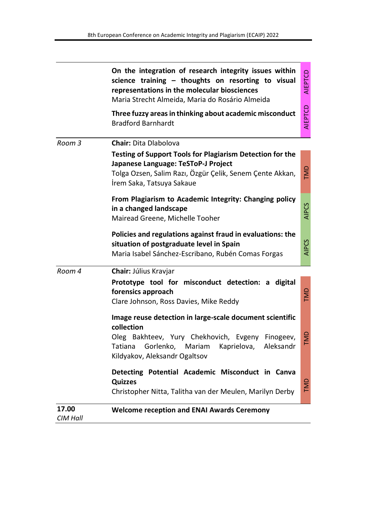|        | On the integration of research integrity issues within<br>science training - thoughts on resorting to visual<br>representations in the molecular biosciences<br>Maria Strecht Almeida, Maria do Rosário Almeida | AIEPTCD      |
|--------|-----------------------------------------------------------------------------------------------------------------------------------------------------------------------------------------------------------------|--------------|
|        | Three fuzzy areas in thinking about academic misconduct<br><b>Bradford Barnhardt</b>                                                                                                                            | AIEPTCD      |
| Room 3 | <b>Chair: Dita Dlabolova</b>                                                                                                                                                                                    |              |
|        | Testing of Support Tools for Plagiarism Detection for the<br>Japanese Language: TeSToP-J Project<br>Tolga Ozsen, Salim Razı, Özgür Çelik, Senem Çente Akkan,<br>İrem Saka, Tatsuya Sakaue                       | <b>GIN</b>   |
|        | From Plagiarism to Academic Integrity: Changing policy<br>in a changed landscape<br>Mairead Greene, Michelle Tooher                                                                                             | <b>AIPCS</b> |
|        | Policies and regulations against fraud in evaluations: the<br>situation of postgraduate level in Spain<br>Maria Isabel Sánchez-Escribano, Rubén Comas Forgas                                                    | <b>AIPCS</b> |
| Room 4 | Chair: Július Kravjar                                                                                                                                                                                           |              |
|        | Prototype tool for misconduct detection: a digital<br>forensics approach<br>Clare Johnson, Ross Davies, Mike Reddy                                                                                              | EMD          |
|        | Image reuse detection in large-scale document scientific<br>collection                                                                                                                                          |              |
|        | Oleg Bakhteev, Yury Chekhovich, Evgeny<br>Finogeev,<br>Gorlenko,<br>Tatiana<br>Mariam<br>Kaprielova,<br>Aleksandr<br>Kildyakov, Aleksandr Ogaltsov                                                              |              |
|        | Detecting Potential Academic Misconduct in Canva<br><b>Quizzes</b><br>Christopher Nitta, Talitha van der Meulen, Marilyn Derby                                                                                  | TMD          |
| 17.00  | <b>Welcome reception and ENAI Awards Ceremony</b>                                                                                                                                                               |              |

CIM Hall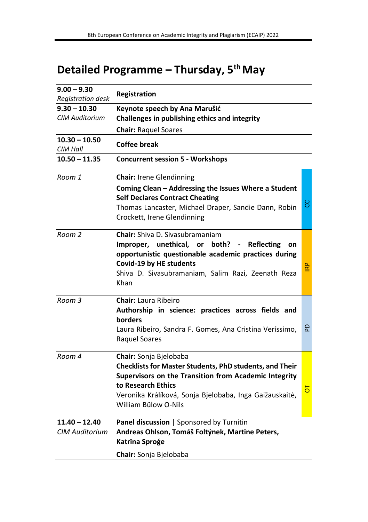# Detailed Programme - Thursday, 5<sup>th</sup> May

| $9.00 - 9.30$<br>Registration desk       | Registration                                                                                                                                                                                                                                        |            |
|------------------------------------------|-----------------------------------------------------------------------------------------------------------------------------------------------------------------------------------------------------------------------------------------------------|------------|
| $9.30 - 10.30$                           | Keynote speech by Ana Marušić                                                                                                                                                                                                                       |            |
| <b>CIM Auditorium</b>                    | Challenges in publishing ethics and integrity                                                                                                                                                                                                       |            |
|                                          | <b>Chair: Raquel Soares</b>                                                                                                                                                                                                                         |            |
| $10.30 - 10.50$<br>CIM Hall              | Coffee break                                                                                                                                                                                                                                        |            |
| $10.50 - 11.35$                          | <b>Concurrent session 5 - Workshops</b>                                                                                                                                                                                                             |            |
| Room 1                                   | <b>Chair: Irene Glendinning</b>                                                                                                                                                                                                                     |            |
|                                          | Coming Clean – Addressing the Issues Where a Student<br><b>Self Declares Contract Cheating</b><br>Thomas Lancaster, Michael Draper, Sandie Dann, Robin<br>Crockett, Irene Glendinning                                                               | ပ္ပ        |
| Room 2                                   | <b>Chair:</b> Shiva D. Sivasubramaniam<br>Improper, unethical, or both? - Reflecting<br>on<br>opportunistic questionable academic practices during<br>Covid-19 by HE students<br>Shiva D. Sivasubramaniam, Salim Razi, Zeenath Reza<br>Khan         | <b>IRP</b> |
| Room 3                                   | <b>Chair:</b> Laura Ribeiro<br>Authorship in science: practices across fields and<br>borders<br>Laura Ribeiro, Sandra F. Gomes, Ana Cristina Veríssimo,<br>Raquel Soares                                                                            | 윤          |
| Room 4                                   | Chair: Sonja Bjelobaba<br>Checklists for Master Students, PhD students, and Their<br>Supervisors on the Transition from Academic Integrity<br>to Research Ethics<br>Veronika Králíková, Sonja Bjelobaba, Inga Gaižauskaitė,<br>William Bülow O-Nils | ㅎ          |
| $11.40 - 12.40$<br><b>CIM Auditorium</b> | Panel discussion   Sponsored by Turnitin<br>Andreas Ohlson, Tomáš Foltýnek, Martine Peters,<br>Katrīna Sproģe<br>Chair: Sonja Bjelobaba                                                                                                             |            |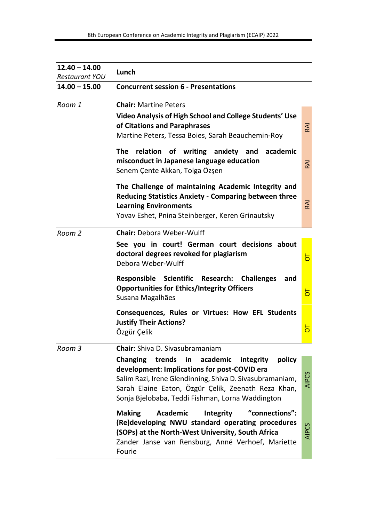| $12.40 - 14.00$<br><b>Restaurant YOU</b> | Lunch                                                                                                                                                                                                                                                                                                                        |                |
|------------------------------------------|------------------------------------------------------------------------------------------------------------------------------------------------------------------------------------------------------------------------------------------------------------------------------------------------------------------------------|----------------|
| $14.00 - 15.00$                          | <b>Concurrent session 6 - Presentations</b>                                                                                                                                                                                                                                                                                  |                |
| Room 1                                   | <b>Chair:</b> Martine Peters<br>Video Analysis of High School and College Students' Use<br>of Citations and Paraphrases<br>Martine Peters, Tessa Boies, Sarah Beauchemin-Roy                                                                                                                                                 | $\overline{A}$ |
|                                          | The<br>relation of writing anxiety and<br>academic<br>misconduct in Japanese language education<br>Senem Çente Akkan, Tolga Özşen                                                                                                                                                                                            | $\overline{A}$ |
|                                          | The Challenge of maintaining Academic Integrity and<br><b>Reducing Statistics Anxiety - Comparing between three</b><br><b>Learning Environments</b><br>Yovav Eshet, Pnina Steinberger, Keren Grinautsky                                                                                                                      | ΚĀ             |
| Room 2                                   | <b>Chair:</b> Debora Weber-Wulff<br>See you in court! German court decisions about<br>doctoral degrees revoked for plagiarism<br>Debora Weber-Wulff                                                                                                                                                                          | $\overline{5}$ |
|                                          | Responsible<br>Scientific<br><b>Research:</b><br><b>Challenges</b><br>and<br><b>Opportunities for Ethics/Integrity Officers</b><br>Susana Magalhães                                                                                                                                                                          | $\overline{5}$ |
|                                          | Consequences, Rules or Virtues: How EFL Students<br>Justify Their Actions?<br>Özgür Çelik                                                                                                                                                                                                                                    | $\overline{5}$ |
| Room 3                                   | <b>Chair:</b> Shiva D. Sivasubramaniam<br>Changing<br>trends<br>academic<br>in<br>integrity<br>policy<br>development: Implications for post-COVID era<br>Salim Razi, Irene Glendinning, Shiva D. Sivasubramaniam,<br>Sarah Elaine Eaton, Özgür Çelik, Zeenath Reza Khan,<br>Sonja Bjelobaba, Teddi Fishman, Lorna Waddington | <b>AIPCS</b>   |
|                                          | <b>Academic</b><br>"connections":<br>Making<br>Integrity<br>(Re)developing NWU standard operating procedures<br>(SOPs) at the North-West University, South Africa<br>Zander Janse van Rensburg, Anné Verhoef, Mariette<br>Fourie                                                                                             | <b>AIPCS</b>   |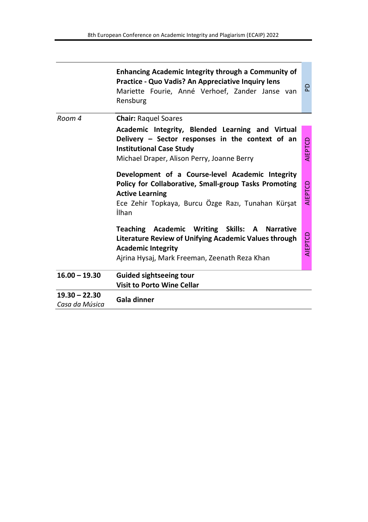|                                   | Enhancing Academic Integrity through a Community of<br>Practice - Quo Vadis? An Appreciative Inquiry lens<br>Mariette Fourie, Anné Verhoef, Zander Janse van<br>Rensburg                                  | 윤              |
|-----------------------------------|-----------------------------------------------------------------------------------------------------------------------------------------------------------------------------------------------------------|----------------|
| Room 4                            | <b>Chair: Raguel Soares</b>                                                                                                                                                                               |                |
|                                   | Academic Integrity, Blended Learning and Virtual<br>Delivery - Sector responses in the context of an<br><b>Institutional Case Study</b><br>Michael Draper, Alison Perry, Joanne Berry                     | <b>AIEPTCD</b> |
|                                   | Development of a Course-level Academic Integrity<br>Policy for Collaborative, Small-group Tasks Promoting<br><b>Active Learning</b><br>Ece Zehir Topkaya, Burcu Özge Razı, Tunahan Kürşat<br><b>ilhan</b> | AIEPTCD        |
|                                   | Teaching Academic Writing Skills: A Narrative<br>Literature Review of Unifying Academic Values through<br><b>Academic Integrity</b><br>Ajrina Hysaj, Mark Freeman, Zeenath Reza Khan                      | AIEPTCD        |
| $16.00 - 19.30$                   | <b>Guided sightseeing tour</b><br><b>Visit to Porto Wine Cellar</b>                                                                                                                                       |                |
| $19.30 - 22.30$<br>Casa da Música | Gala dinner                                                                                                                                                                                               |                |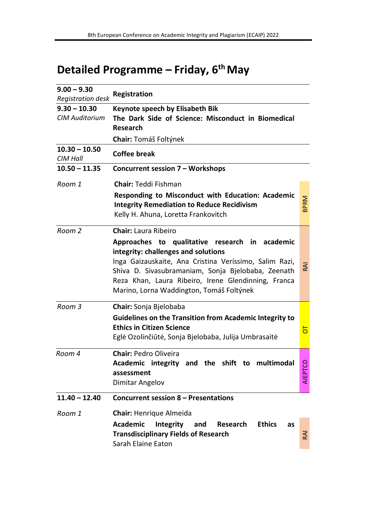## Detailed Programme - Friday, 6<sup>th</sup> May

| $9.00 - 9.30$<br><b>Registration desk</b> | Registration                                                                                                                                                                                                                                                                                                                     |                |
|-------------------------------------------|----------------------------------------------------------------------------------------------------------------------------------------------------------------------------------------------------------------------------------------------------------------------------------------------------------------------------------|----------------|
| $9.30 - 10.30$<br><b>CIM Auditorium</b>   | Keynote speech by Elisabeth Bik<br>The Dark Side of Science: Misconduct in Biomedical<br>Research                                                                                                                                                                                                                                |                |
|                                           | <b>Chair:</b> Tomáš Foltýnek                                                                                                                                                                                                                                                                                                     |                |
| $10.30 - 10.50$<br>CIM Hall               | Coffee break                                                                                                                                                                                                                                                                                                                     |                |
| $10.50 - 11.35$                           | Concurrent session 7 - Workshops                                                                                                                                                                                                                                                                                                 |                |
| Room 1                                    | <b>Chair:</b> Teddi Fishman<br>Responding to Misconduct with Education: Academic<br><b>Integrity Remediation to Reduce Recidivism</b><br>Kelly H. Ahuna, Loretta Frankovitch                                                                                                                                                     | <b>BPRM</b>    |
| Room 2                                    | Chair: Laura Ribeiro<br>Approaches to qualitative research in academic<br>integrity: challenges and solutions<br>Inga Gaizauskaite, Ana Cristina Veríssimo, Salim Razi,<br>Shiva D. Sivasubramaniam, Sonja Bjelobaba, Zeenath<br>Reza Khan, Laura Ribeiro, Irene Glendinning, Franca<br>Marino, Lorna Waddington, Tomáš Foltýnek | RAI            |
| Room 3                                    | <b>Chair:</b> Sonja Bjelobaba<br>Guidelines on the Transition from Academic Integrity to<br><b>Ethics in Citizen Science</b><br>Eglė Ozolinčiūtė, Sonja Bjelobaba, Julija Umbrasaitė                                                                                                                                             | $\overline{5}$ |
| Room 4                                    | <b>Chair: Pedro Oliveira</b><br>Academic integrity and the shift to multimodal<br>assessment<br>Dimitar Angelov                                                                                                                                                                                                                  | AIEPTCD        |
| $11.40 - 12.40$                           | Concurrent session 8 - Presentations                                                                                                                                                                                                                                                                                             |                |
| Room 1                                    | Chair: Henrique Almeida<br>Academic<br>Integrity<br>and<br><b>Research</b><br><b>Ethics</b><br>as<br><b>Transdisciplinary Fields of Research</b><br>Sarah Elaine Eaton                                                                                                                                                           | <b>RAI</b>     |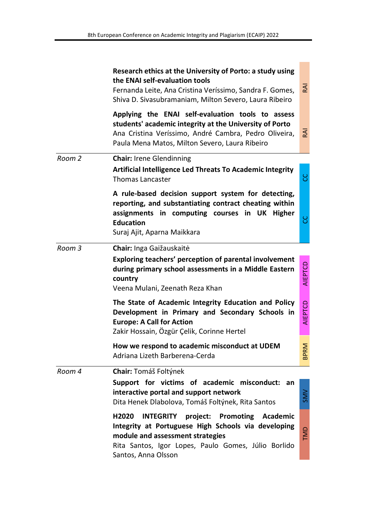|        | Research ethics at the University of Porto: a study using<br>the ENAI self-evaluation tools<br>Fernanda Leite, Ana Cristina Veríssimo, Sandra F. Gomes,<br>Shiva D. Sivasubramaniam, Milton Severo, Laura Ribeiro                 | $\overline{A}$ |
|--------|-----------------------------------------------------------------------------------------------------------------------------------------------------------------------------------------------------------------------------------|----------------|
|        | Applying the ENAI self-evaluation tools to assess<br>students' academic integrity at the University of Porto<br>Ana Cristina Veríssimo, André Cambra, Pedro Oliveira,<br>Paula Mena Matos, Milton Severo, Laura Ribeiro           | $\overline{z}$ |
| Room 2 | <b>Chair: Irene Glendinning</b><br>Artificial Intelligence Led Threats To Academic Integrity<br><b>Thomas Lancaster</b>                                                                                                           | ႘              |
|        | A rule-based decision support system for detecting,<br>reporting, and substantiating contract cheating within<br>assignments in computing courses in UK Higher<br><b>Education</b><br>Suraj Ajit, Aparna Maikkara                 | ပ္ပ            |
| Room 3 | Chair: Inga Gaižauskaitė<br>Exploring teachers' perception of parental involvement<br>during primary school assessments in a Middle Eastern<br>country<br>Veena Mulani, Zeenath Reza Khan                                         | AIEPTCD        |
|        | The State of Academic Integrity Education and Policy<br>Development in Primary and Secondary Schools in<br><b>Europe: A Call for Action</b><br>Zakir Hossain, Ozgür Çelik, Corinne Hertel                                         | AIEPTCD        |
|        | How we respond to academic misconduct at UDEM<br>Adriana Lizeth Barberena-Cerda                                                                                                                                                   | <b>BPRM</b>    |
| Room 4 | <b>Chair:</b> Tomáš Foltýnek<br>Support for victims of academic misconduct:<br>an<br>interactive portal and support network<br>Dita Henek Dlabolova, Tomáš Foltýnek, Rita Santos                                                  | SMV            |
|        | <b>INTEGRITY</b> project: Promoting<br>H2020<br>Academic<br>Integrity at Portuguese High Schools via developing<br>module and assessment strategies<br>Rita Santos, Igor Lopes, Paulo Gomes, Júlio Borlido<br>Santos, Anna Olsson | TMD            |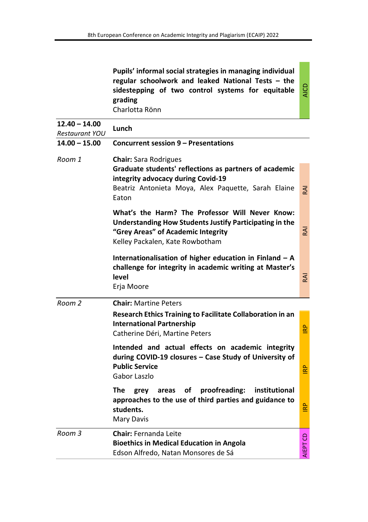|                                   | Pupils' informal social strategies in managing individual<br>regular schoolwork and leaked National Tests - the<br>sidestepping of two control systems for equitable<br>grading<br>Charlotta Rönn | <b>AICD</b> |
|-----------------------------------|---------------------------------------------------------------------------------------------------------------------------------------------------------------------------------------------------|-------------|
| $12.40 - 14.00$<br>Restaurant YOU | Lunch                                                                                                                                                                                             |             |
| $14.00 - 15.00$                   | <b>Concurrent session 9 - Presentations</b>                                                                                                                                                       |             |
| Room 1                            | Chair: Sara Rodrigues<br>Graduate students' reflections as partners of academic<br>integrity advocacy during Covid-19<br>Beatriz Antonieta Moya, Alex Paquette, Sarah Elaine<br>Eaton             | RAI         |
|                                   | What's the Harm? The Professor Will Never Know:<br>Understanding How Students Justify Participating in the<br>"Grey Areas" of Academic Integrity<br>Kelley Packalen, Kate Rowbotham               | RAI         |
|                                   | Internationalisation of higher education in Finland $-$ A<br>challenge for integrity in academic writing at Master's<br>level<br>Erja Moore                                                       | RAI         |
| Room 2                            | <b>Chair:</b> Martine Peters<br>Research Ethics Training to Facilitate Collaboration in an<br><b>International Partnership</b><br>Catherine Déri, Martine Peters                                  | <b>P</b>    |
|                                   | Intended and actual effects on academic integrity<br>during COVID-19 closures - Case Study of University of<br><b>Public Service</b><br>Gabor Laszlo                                              | È           |
|                                   | The<br>οf<br>proofreading:<br>institutional<br>areas<br>grey<br>approaches to the use of third parties and guidance to<br>students.<br>Mary Davis                                                 | <b>IRP</b>  |
| Room 3                            | <b>Chair:</b> Fernanda Leite<br><b>Bioethics in Medical Education in Angola</b><br>Edson Alfredo, Natan Monsores de Sá                                                                            | 8<br>AIEPT  |